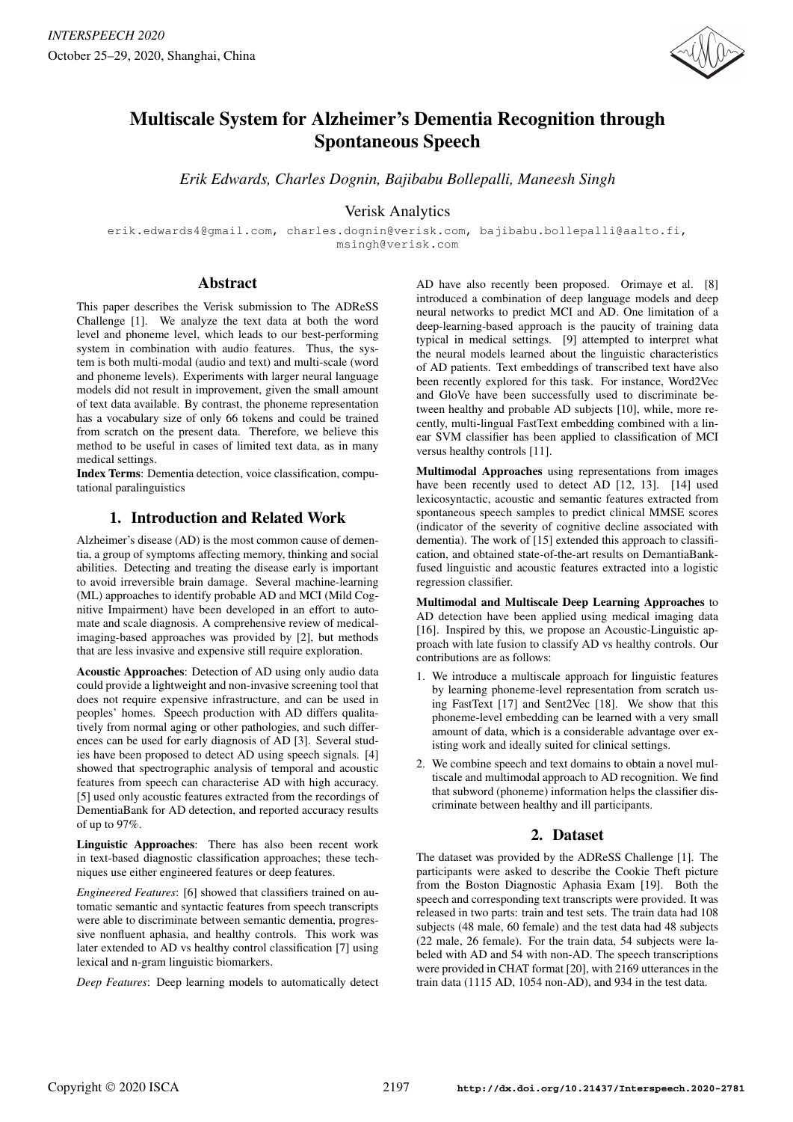

# Multiscale System for Alzheimer's Dementia Recognition through Spontaneous Speech

*Erik Edwards, Charles Dognin, Bajibabu Bollepalli, Maneesh Singh*

# Verisk Analytics

erik.edwards4@gmail.com, charles.dognin@verisk.com, bajibabu.bollepalli@aalto.fi, msingh@verisk.com

# Abstract

This paper describes the Verisk submission to The ADReSS Challenge [1]. We analyze the text data at both the word level and phoneme level, which leads to our best-performing system in combination with audio features. Thus, the system is both multi-modal (audio and text) and multi-scale (word and phoneme levels). Experiments with larger neural language models did not result in improvement, given the small amount of text data available. By contrast, the phoneme representation has a vocabulary size of only 66 tokens and could be trained from scratch on the present data. Therefore, we believe this method to be useful in cases of limited text data, as in many medical settings.

Index Terms: Dementia detection, voice classification, computational paralinguistics

# 1. Introduction and Related Work

Alzheimer's disease (AD) is the most common cause of dementia, a group of symptoms affecting memory, thinking and social abilities. Detecting and treating the disease early is important to avoid irreversible brain damage. Several machine-learning (ML) approaches to identify probable AD and MCI (Mild Cognitive Impairment) have been developed in an effort to automate and scale diagnosis. A comprehensive review of medicalimaging-based approaches was provided by [2], but methods that are less invasive and expensive still require exploration.

Acoustic Approaches: Detection of AD using only audio data could provide a lightweight and non-invasive screening tool that does not require expensive infrastructure, and can be used in peoples' homes. Speech production with AD differs qualitatively from normal aging or other pathologies, and such differences can be used for early diagnosis of AD [3]. Several studies have been proposed to detect AD using speech signals. [4] showed that spectrographic analysis of temporal and acoustic features from speech can characterise AD with high accuracy. [5] used only acoustic features extracted from the recordings of DementiaBank for AD detection, and reported accuracy results of up to 97%.

Linguistic Approaches: There has also been recent work in text-based diagnostic classification approaches; these techniques use either engineered features or deep features.

*Engineered Features*: [6] showed that classifiers trained on automatic semantic and syntactic features from speech transcripts were able to discriminate between semantic dementia, progressive nonfluent aphasia, and healthy controls. This work was later extended to AD vs healthy control classification [7] using lexical and n-gram linguistic biomarkers.

*Deep Features*: Deep learning models to automatically detect

AD have also recently been proposed. Orimaye et al. [8] introduced a combination of deep language models and deep neural networks to predict MCI and AD. One limitation of a deep-learning-based approach is the paucity of training data typical in medical settings. [9] attempted to interpret what the neural models learned about the linguistic characteristics of AD patients. Text embeddings of transcribed text have also been recently explored for this task. For instance, Word2Vec and GloVe have been successfully used to discriminate between healthy and probable AD subjects [10], while, more recently, multi-lingual FastText embedding combined with a linear SVM classifier has been applied to classification of MCI versus healthy controls [11].

Multimodal Approaches using representations from images have been recently used to detect AD [12, 13]. [14] used lexicosyntactic, acoustic and semantic features extracted from spontaneous speech samples to predict clinical MMSE scores (indicator of the severity of cognitive decline associated with dementia). The work of [15] extended this approach to classification, and obtained state-of-the-art results on DemantiaBankfused linguistic and acoustic features extracted into a logistic regression classifier.

Multimodal and Multiscale Deep Learning Approaches to AD detection have been applied using medical imaging data [16]. Inspired by this, we propose an Acoustic-Linguistic approach with late fusion to classify AD vs healthy controls. Our contributions are as follows:

- 1. We introduce a multiscale approach for linguistic features by learning phoneme-level representation from scratch using FastText [17] and Sent2Vec [18]. We show that this phoneme-level embedding can be learned with a very small amount of data, which is a considerable advantage over existing work and ideally suited for clinical settings.
- 2. We combine speech and text domains to obtain a novel multiscale and multimodal approach to AD recognition. We find that subword (phoneme) information helps the classifier discriminate between healthy and ill participants.

# 2. Dataset

The dataset was provided by the ADReSS Challenge [1]. The participants were asked to describe the Cookie Theft picture from the Boston Diagnostic Aphasia Exam [19]. Both the speech and corresponding text transcripts were provided. It was released in two parts: train and test sets. The train data had 108 subjects (48 male, 60 female) and the test data had 48 subjects (22 male, 26 female). For the train data, 54 subjects were labeled with AD and 54 with non-AD. The speech transcriptions were provided in CHAT format [20], with 2169 utterances in the train data (1115 AD, 1054 non-AD), and 934 in the test data.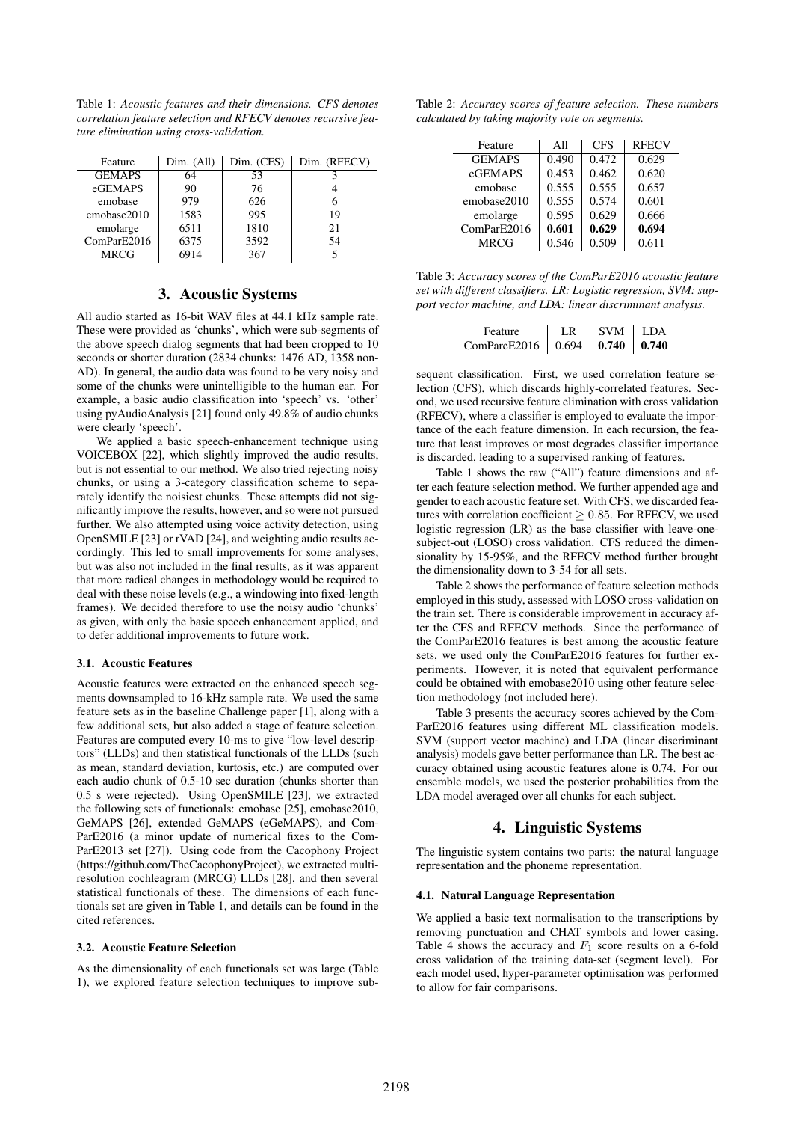Table 1: *Acoustic features and their dimensions. CFS denotes correlation feature selection and RFECV denotes recursive feature elimination using cross-validation.*

| Feature       | Dim. (All) | Dim. (CFS) | Dim. (RFECV) |
|---------------|------------|------------|--------------|
| <b>GEMAPS</b> | 64         | 53         |              |
| eGEMAPS       | 90         | 76         |              |
| emobase       | 979        | 626        |              |
| emobase2010   | 1583       | 995        | 19           |
| emolarge      | 6511       | 1810       | 21           |
| ComParE2016   | 6375       | 3592       | 54           |
| <b>MRCG</b>   | 6914       | 367        |              |

### 3. Acoustic Systems

All audio started as 16-bit WAV files at 44.1 kHz sample rate. These were provided as 'chunks', which were sub-segments of the above speech dialog segments that had been cropped to 10 seconds or shorter duration (2834 chunks: 1476 AD, 1358 non-AD). In general, the audio data was found to be very noisy and some of the chunks were unintelligible to the human ear. For example, a basic audio classification into 'speech' vs. 'other' using pyAudioAnalysis [21] found only 49.8% of audio chunks were clearly 'speech'.

We applied a basic speech-enhancement technique using VOICEBOX [22], which slightly improved the audio results, but is not essential to our method. We also tried rejecting noisy chunks, or using a 3-category classification scheme to separately identify the noisiest chunks. These attempts did not significantly improve the results, however, and so were not pursued further. We also attempted using voice activity detection, using OpenSMILE [23] or rVAD [24], and weighting audio results accordingly. This led to small improvements for some analyses, but was also not included in the final results, as it was apparent that more radical changes in methodology would be required to deal with these noise levels (e.g., a windowing into fixed-length frames). We decided therefore to use the noisy audio 'chunks' as given, with only the basic speech enhancement applied, and to defer additional improvements to future work.

#### 3.1. Acoustic Features

Acoustic features were extracted on the enhanced speech segments downsampled to 16-kHz sample rate. We used the same feature sets as in the baseline Challenge paper [1], along with a few additional sets, but also added a stage of feature selection. Features are computed every 10-ms to give "low-level descriptors" (LLDs) and then statistical functionals of the LLDs (such as mean, standard deviation, kurtosis, etc.) are computed over each audio chunk of 0.5-10 sec duration (chunks shorter than 0.5 s were rejected). Using OpenSMILE [23], we extracted the following sets of functionals: emobase [25], emobase2010, GeMAPS [26], extended GeMAPS (eGeMAPS), and Com-ParE2016 (a minor update of numerical fixes to the Com-ParE2013 set [27]). Using code from the Cacophony Project (https://github.com/TheCacophonyProject), we extracted multiresolution cochleagram (MRCG) LLDs [28], and then several statistical functionals of these. The dimensions of each functionals set are given in Table 1, and details can be found in the cited references.

#### 3.2. Acoustic Feature Selection

As the dimensionality of each functionals set was large (Table 1), we explored feature selection techniques to improve sub-

Table 2: *Accuracy scores of feature selection. These numbers calculated by taking majority vote on segments.*

| Feature       | All   | <b>CFS</b> | <b>RFECV</b> |
|---------------|-------|------------|--------------|
| <b>GEMAPS</b> | 0.490 | 0.472      | 0.629        |
| eGEMAPS       | 0.453 | 0.462      | 0.620        |
| emobase       | 0.555 | 0.555      | 0.657        |
| emobase2010   | 0.555 | 0.574      | 0.601        |
| emolarge      | 0.595 | 0.629      | 0.666        |
| ComParE2016   | 0.601 | 0.629      | 0.694        |
| <b>MRCG</b>   | 0.546 | 0.509      | 0.611        |

Table 3: *Accuracy scores of the ComParE2016 acoustic feature set with different classifiers. LR: Logistic regression, SVM: support vector machine, and LDA: linear discriminant analysis.*

| Feature                                              | LR   SVM   LDA |  |
|------------------------------------------------------|----------------|--|
| ComPareE2016   $0.694$   <b>0.740</b>   <b>0.740</b> |                |  |

sequent classification. First, we used correlation feature selection (CFS), which discards highly-correlated features. Second, we used recursive feature elimination with cross validation (RFECV), where a classifier is employed to evaluate the importance of the each feature dimension. In each recursion, the feature that least improves or most degrades classifier importance is discarded, leading to a supervised ranking of features.

Table 1 shows the raw ("All") feature dimensions and after each feature selection method. We further appended age and gender to each acoustic feature set. With CFS, we discarded features with correlation coefficient  $\geq 0.85$ . For RFECV, we used logistic regression (LR) as the base classifier with leave-onesubject-out (LOSO) cross validation. CFS reduced the dimensionality by 15-95%, and the RFECV method further brought the dimensionality down to 3-54 for all sets.

Table 2 shows the performance of feature selection methods employed in this study, assessed with LOSO cross-validation on the train set. There is considerable improvement in accuracy after the CFS and RFECV methods. Since the performance of the ComParE2016 features is best among the acoustic feature sets, we used only the ComParE2016 features for further experiments. However, it is noted that equivalent performance could be obtained with emobase2010 using other feature selection methodology (not included here).

Table 3 presents the accuracy scores achieved by the Com-ParE2016 features using different ML classification models. SVM (support vector machine) and LDA (linear discriminant analysis) models gave better performance than LR. The best accuracy obtained using acoustic features alone is 0.74. For our ensemble models, we used the posterior probabilities from the LDA model averaged over all chunks for each subject.

### 4. Linguistic Systems

The linguistic system contains two parts: the natural language representation and the phoneme representation.

#### 4.1. Natural Language Representation

We applied a basic text normalisation to the transcriptions by removing punctuation and CHAT symbols and lower casing. Table 4 shows the accuracy and  $F_1$  score results on a 6-fold cross validation of the training data-set (segment level). For each model used, hyper-parameter optimisation was performed to allow for fair comparisons.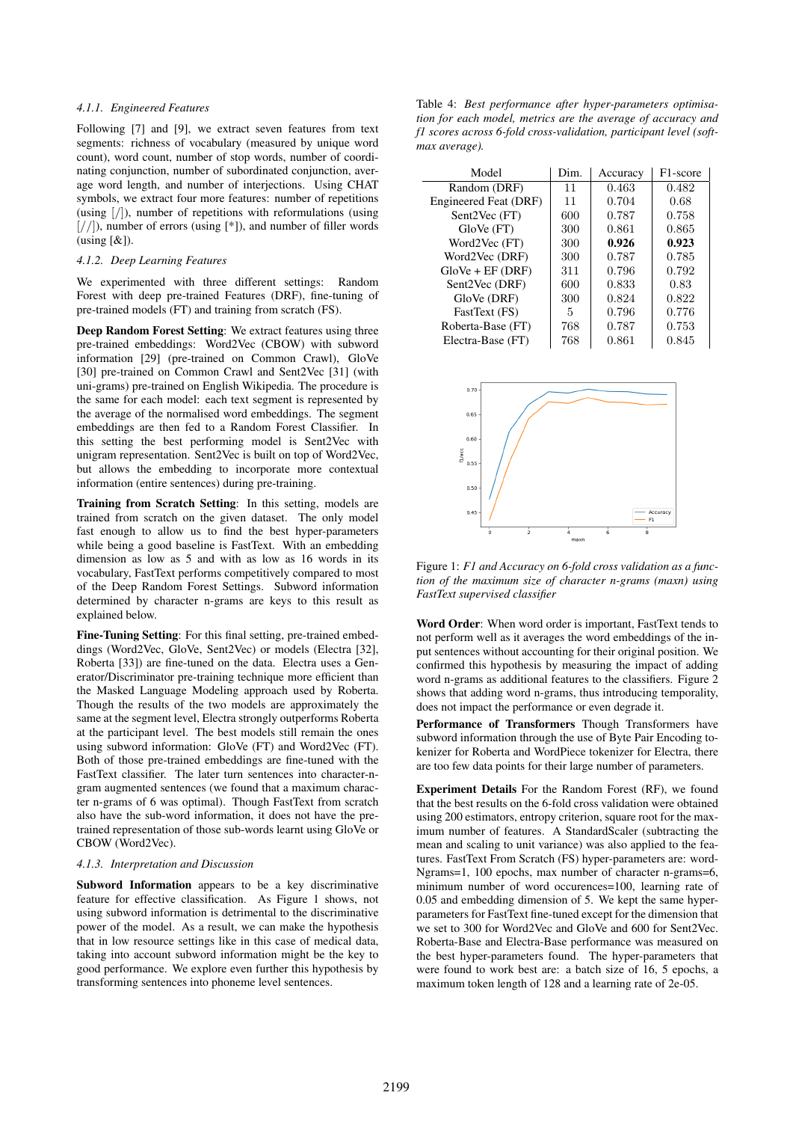### *4.1.1. Engineered Features*

Following [7] and [9], we extract seven features from text segments: richness of vocabulary (measured by unique word count), word count, number of stop words, number of coordinating conjunction, number of subordinated conjunction, average word length, and number of interjections. Using CHAT symbols, we extract four more features: number of repetitions (using  $|/|$ ), number of repetitions with reformulations (using  $\left[\frac{\ }{\ }{\ }\right]$ ), number of errors (using  $\left[\frac{*}{\ }{\ }\right]$ ), and number of filler words  $(using [&]).$ 

#### *4.1.2. Deep Learning Features*

We experimented with three different settings: Random Forest with deep pre-trained Features (DRF), fine-tuning of pre-trained models (FT) and training from scratch (FS).

Deep Random Forest Setting: We extract features using three pre-trained embeddings: Word2Vec (CBOW) with subword information [29] (pre-trained on Common Crawl), GloVe [30] pre-trained on Common Crawl and Sent2Vec [31] (with uni-grams) pre-trained on English Wikipedia. The procedure is the same for each model: each text segment is represented by the average of the normalised word embeddings. The segment embeddings are then fed to a Random Forest Classifier. In this setting the best performing model is Sent2Vec with unigram representation. Sent2Vec is built on top of Word2Vec, but allows the embedding to incorporate more contextual information (entire sentences) during pre-training.

Training from Scratch Setting: In this setting, models are trained from scratch on the given dataset. The only model fast enough to allow us to find the best hyper-parameters while being a good baseline is FastText. With an embedding dimension as low as 5 and with as low as 16 words in its vocabulary, FastText performs competitively compared to most of the Deep Random Forest Settings. Subword information determined by character n-grams are keys to this result as explained below.

Fine-Tuning Setting: For this final setting, pre-trained embeddings (Word2Vec, GloVe, Sent2Vec) or models (Electra [32], Roberta [33]) are fine-tuned on the data. Electra uses a Generator/Discriminator pre-training technique more efficient than the Masked Language Modeling approach used by Roberta. Though the results of the two models are approximately the same at the segment level, Electra strongly outperforms Roberta at the participant level. The best models still remain the ones using subword information: GloVe (FT) and Word2Vec (FT). Both of those pre-trained embeddings are fine-tuned with the FastText classifier. The later turn sentences into character-ngram augmented sentences (we found that a maximum character n-grams of 6 was optimal). Though FastText from scratch also have the sub-word information, it does not have the pretrained representation of those sub-words learnt using GloVe or CBOW (Word2Vec).

#### *4.1.3. Interpretation and Discussion*

Subword Information appears to be a key discriminative feature for effective classification. As Figure 1 shows, not using subword information is detrimental to the discriminative power of the model. As a result, we can make the hypothesis that in low resource settings like in this case of medical data, taking into account subword information might be the key to good performance. We explore even further this hypothesis by transforming sentences into phoneme level sentences.

Table 4: *Best performance after hyper-parameters optimisation for each model, metrics are the average of accuracy and f1 scores across 6-fold cross-validation, participant level (softmax average).*

| Model                 | Dim. | Accuracy | F1-score |
|-----------------------|------|----------|----------|
| Random (DRF)          | 11   | 0.463    | 0.482    |
| Engineered Feat (DRF) | 11   | 0.704    | 0.68     |
| Sent2Vec (FT)         | 600  | 0.787    | 0.758    |
| $GloVe$ $(FT)$        | 300  | 0.861    | 0.865    |
| Word2Vec (FT)         | 300  | 0.926    | 0.923    |
| Word2Vec (DRF)        | 300  | 0.787    | 0.785    |
| $GloVe + EF$ (DRF)    | 311  | 0.796    | 0.792    |
| Sent2Vec (DRF)        | 600  | 0.833    | 0.83     |
| GloVe (DRF)           | 300  | 0.824    | 0.822    |
| FastText (FS)         | 5    | 0.796    | 0.776    |
| Roberta-Base (FT)     | 768  | 0.787    | 0.753    |
| Electra-Base (FT)     | 768  | 0.861    | 0.845    |



Figure 1: *F1 and Accuracy on 6-fold cross validation as a function of the maximum size of character n-grams (maxn) using FastText supervised classifier*

Word Order: When word order is important, FastText tends to not perform well as it averages the word embeddings of the input sentences without accounting for their original position. We confirmed this hypothesis by measuring the impact of adding word n-grams as additional features to the classifiers. Figure 2 shows that adding word n-grams, thus introducing temporality, does not impact the performance or even degrade it.

Performance of Transformers Though Transformers have subword information through the use of Byte Pair Encoding tokenizer for Roberta and WordPiece tokenizer for Electra, there are too few data points for their large number of parameters.

Experiment Details For the Random Forest (RF), we found that the best results on the 6-fold cross validation were obtained using 200 estimators, entropy criterion, square root for the maximum number of features. A StandardScaler (subtracting the mean and scaling to unit variance) was also applied to the features. FastText From Scratch (FS) hyper-parameters are: word-Ngrams=1, 100 epochs, max number of character n-grams=6, minimum number of word occurences=100, learning rate of 0.05 and embedding dimension of 5. We kept the same hyperparameters for FastText fine-tuned except for the dimension that we set to 300 for Word2Vec and GloVe and 600 for Sent2Vec. Roberta-Base and Electra-Base performance was measured on the best hyper-parameters found. The hyper-parameters that were found to work best are: a batch size of 16, 5 epochs, a maximum token length of 128 and a learning rate of 2e-05.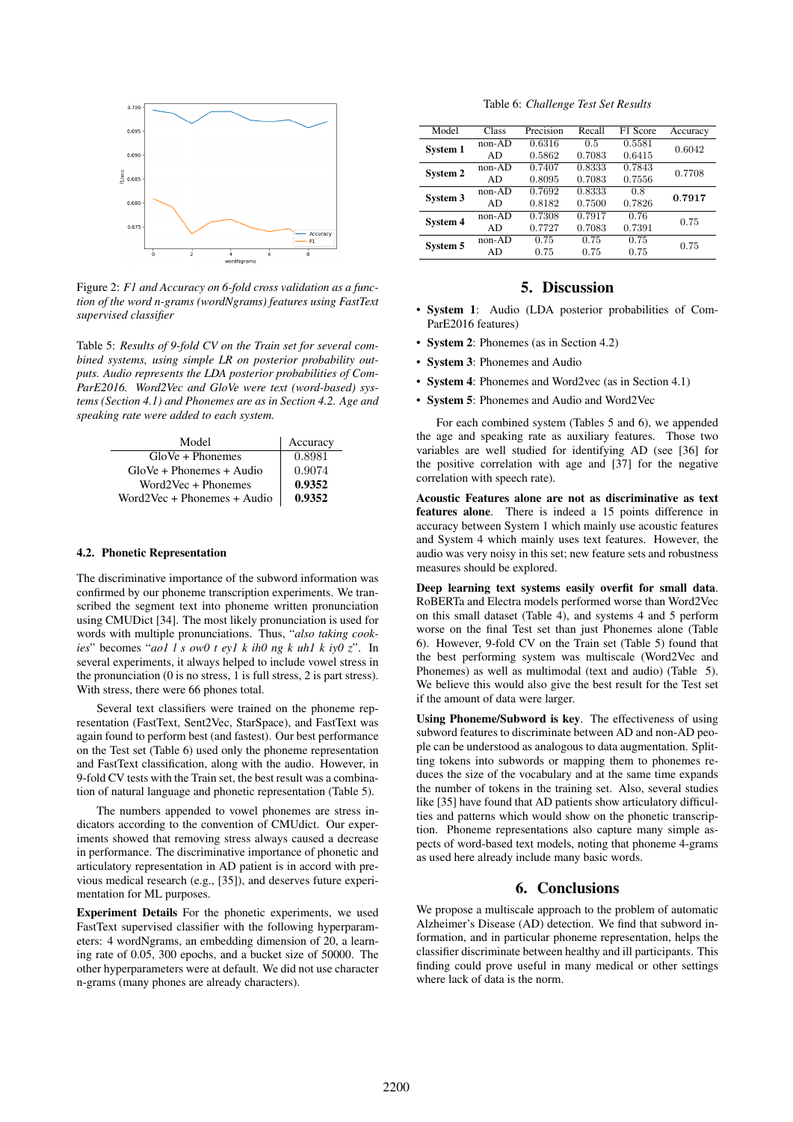

Figure 2: *F1 and Accuracy on 6-fold cross validation as a function of the word n-grams (wordNgrams) features using FastText supervised classifier*

Table 5: *Results of 9-fold CV on the Train set for several combined systems, using simple LR on posterior probability outputs. Audio represents the LDA posterior probabilities of Com-ParE2016. Word2Vec and GloVe were text (word-based) systems (Section 4.1) and Phonemes are as in Section 4.2. Age and speaking rate were added to each system.*

| Model                       | Accuracy |
|-----------------------------|----------|
| $GloVe + Phonemes$          | 0.8981   |
| $GloVe + Phonemes + Audio$  | 0.9074   |
| $Word2Vec + Phonemes$       | 0.9352   |
| Word2Vec + Phonemes + Audio | 0.9352   |

#### 4.2. Phonetic Representation

The discriminative importance of the subword information was confirmed by our phoneme transcription experiments. We transcribed the segment text into phoneme written pronunciation using CMUDict [34]. The most likely pronunciation is used for words with multiple pronunciations. Thus, "*also taking cookies*" becomes "*ao1 l s ow0 t ey1 k ih0 ng k uh1 k iy0 z*". In several experiments, it always helped to include vowel stress in the pronunciation (0 is no stress, 1 is full stress, 2 is part stress). With stress, there were 66 phones total.

Several text classifiers were trained on the phoneme representation (FastText, Sent2Vec, StarSpace), and FastText was again found to perform best (and fastest). Our best performance on the Test set (Table 6) used only the phoneme representation and FastText classification, along with the audio. However, in 9-fold CV tests with the Train set, the best result was a combination of natural language and phonetic representation (Table 5).

The numbers appended to vowel phonemes are stress indicators according to the convention of CMUdict. Our experiments showed that removing stress always caused a decrease in performance. The discriminative importance of phonetic and articulatory representation in AD patient is in accord with previous medical research (e.g., [35]), and deserves future experimentation for ML purposes.

Experiment Details For the phonetic experiments, we used FastText supervised classifier with the following hyperparameters: 4 wordNgrams, an embedding dimension of 20, a learning rate of 0.05, 300 epochs, and a bucket size of 50000. The other hyperparameters were at default. We did not use character n-grams (many phones are already characters).

Table 6: *Challenge Test Set Results*

| Model    | <b>Class</b> | Precision | Recall | F1 Score | Accuracy |
|----------|--------------|-----------|--------|----------|----------|
| System 1 | $non-AD$     | 0.6316    | 0.5    | 0.5581   | 0.6042   |
|          | AD           | 0.5862    | 0.7083 | 0.6415   |          |
| System 2 | $non-AD$     | 0.7407    | 0.8333 | 0.7843   | 0.7708   |
|          | AD           | 0.8095    | 0.7083 | 0.7556   |          |
| System 3 | $non-AD$     | 0.7692    | 0.8333 | 0.8      | 0.7917   |
|          | AD           | 0.8182    | 0.7500 | 0.7826   |          |
| System 4 | $non-AD$     | 0.7308    | 0.7917 | 0.76     | 0.75     |
|          | AD           | 0.7727    | 0.7083 | 0.7391   |          |
| System 5 | $non-AD$     | 0.75      | 0.75   | 0.75     | 0.75     |
|          | AD           | 0.75      | 0.75   | 0.75     |          |

## 5. Discussion

- System 1: Audio (LDA posterior probabilities of Com-ParE2016 features)
- **System 2:** Phonemes (as in Section 4.2)
- System 3: Phonemes and Audio
- System 4: Phonemes and Word2vec (as in Section 4.1)
- System 5: Phonemes and Audio and Word2Vec

For each combined system (Tables 5 and 6), we appended the age and speaking rate as auxiliary features. Those two variables are well studied for identifying AD (see [36] for the positive correlation with age and [37] for the negative correlation with speech rate).

Acoustic Features alone are not as discriminative as text features alone. There is indeed a 15 points difference in accuracy between System 1 which mainly use acoustic features and System 4 which mainly uses text features. However, the audio was very noisy in this set; new feature sets and robustness measures should be explored.

Deep learning text systems easily overfit for small data. RoBERTa and Electra models performed worse than Word2Vec on this small dataset (Table 4), and systems 4 and 5 perform worse on the final Test set than just Phonemes alone (Table 6). However, 9-fold CV on the Train set (Table 5) found that the best performing system was multiscale (Word2Vec and Phonemes) as well as multimodal (text and audio) (Table 5). We believe this would also give the best result for the Test set if the amount of data were larger.

Using Phoneme/Subword is key. The effectiveness of using subword features to discriminate between AD and non-AD people can be understood as analogous to data augmentation. Splitting tokens into subwords or mapping them to phonemes reduces the size of the vocabulary and at the same time expands the number of tokens in the training set. Also, several studies like [35] have found that AD patients show articulatory difficulties and patterns which would show on the phonetic transcription. Phoneme representations also capture many simple aspects of word-based text models, noting that phoneme 4-grams as used here already include many basic words.

### 6. Conclusions

We propose a multiscale approach to the problem of automatic Alzheimer's Disease (AD) detection. We find that subword information, and in particular phoneme representation, helps the classifier discriminate between healthy and ill participants. This finding could prove useful in many medical or other settings where lack of data is the norm.